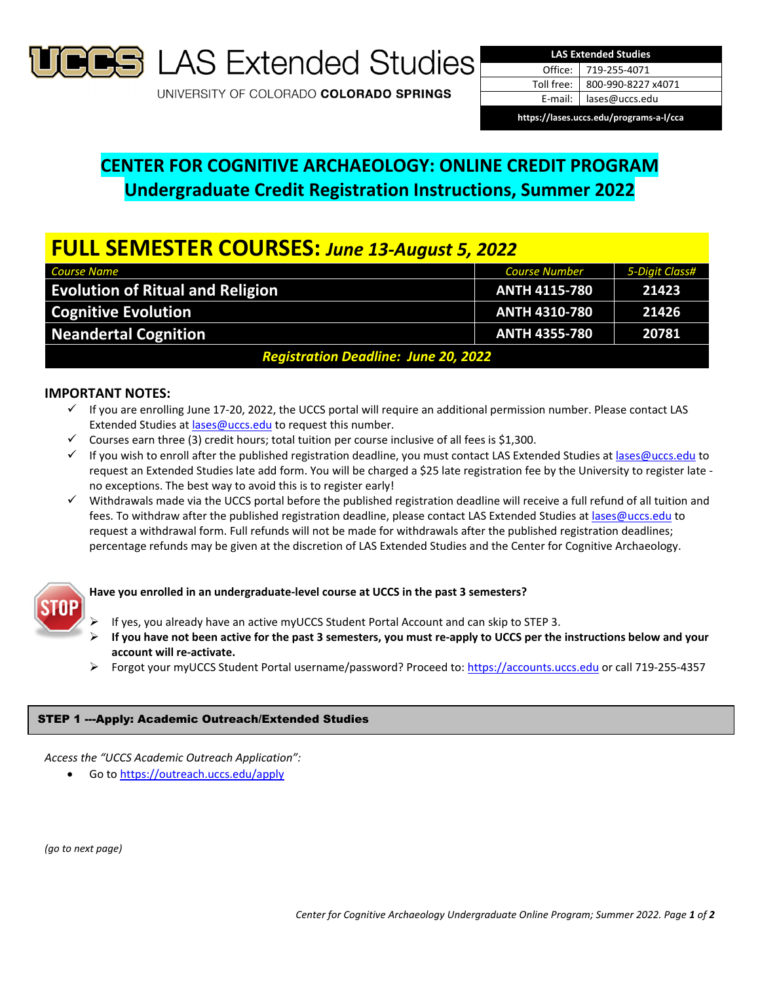

**S** LAS Extended Studies

UNIVERSITY OF COLORADO COLORADO SPRINGS

| <b>LAS Extended Studies</b> |                      |
|-----------------------------|----------------------|
|                             | Office: 719-255-4071 |
| Toll free:                  | 800-990-8227 x4071   |
| E-mail:                     | lases@uccs.edu       |
|                             |                      |

**https://lases.uccs.edu/programs‐a‐l/cca**

# **CENTER FOR COGNITIVE ARCHAEOLOGY: ONLINE CREDIT PROGRAM Undergraduate Credit Registration Instructions, Summer 2022**

# **FULL SEMESTER COURSES:** *June 13‐August 5, 2022*

| <b>Course Name</b>                          | <b>Course Number</b> | 5-Digit Class# |  |
|---------------------------------------------|----------------------|----------------|--|
| <b>Evolution of Ritual and Religion</b>     | <b>ANTH 4115-780</b> | 21423          |  |
| <b>Cognitive Evolution</b>                  | <b>ANTH 4310-780</b> | 21426          |  |
| <b>Neandertal Cognition</b>                 | <b>ANTH 4355-780</b> | 20781          |  |
| <b>Registration Deadline: June 20, 2022</b> |                      |                |  |

# **IMPORTANT NOTES:**

- $\checkmark$  If you are enrolling June 17-20, 2022, the UCCS portal will require an additional permission number. Please contact LAS Extended Studies at lases@uccs.edu to request this number.
- $\checkmark$  Courses earn three (3) credit hours; total tuition per course inclusive of all fees is \$1,300.
- √ If you wish to enroll after the published registration deadline, you must contact LAS Extended Studies at lases@uccs.edu to request an Extended Studies late add form. You will be charged a \$25 late registration fee by the University to register late ‐ no exceptions. The best way to avoid this is to register early!
- $\checkmark$  Withdrawals made via the UCCS portal before the published registration deadline will receive a full refund of all tuition and fees. To withdraw after the published registration deadline, please contact LAS Extended Studies at lases@uccs.edu to request a withdrawal form. Full refunds will not be made for withdrawals after the published registration deadlines; percentage refunds may be given at the discretion of LAS Extended Studies and the Center for Cognitive Archaeology.



# **Have you enrolled in an undergraduate‐level course at UCCS in the past 3 semesters?**

- If yes, you already have an active myUCCS Student Portal Account and can skip to STEP 3.
- If you have not been active for the past 3 semesters, you must re-apply to UCCS per the instructions below and your **account will re‐activate.**
- Forgot your myUCCS Student Portal username/password? Proceed to: https://accounts.uccs.edu or call 719-255-4357

# STEP 1 ---Apply: Academic Outreach/Extended Studies

*Access the "UCCS Academic Outreach Application":*

Go to https://outreach.uccs.edu/apply

*(go to next page)*